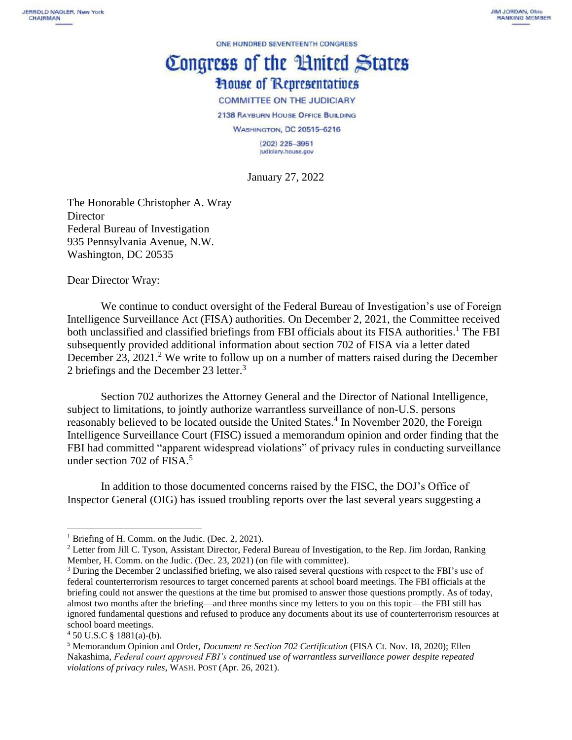ONE HUNDRED SEVENTEENTH CONGRESS

## Congress of the Huited States **House of Representatives**

## **COMMITTEE ON THE JUDICIARY**

2138 RAYBURN HOUSE OFFICE BUILDING

WASHINGTON, DC 20515-6216

 $(202)$  225-3951 judiciary.house.gov

January 27, 2022

The Honorable Christopher A. Wray **Director** Federal Bureau of Investigation 935 Pennsylvania Avenue, N.W. Washington, DC 20535

Dear Director Wray:

We continue to conduct oversight of the Federal Bureau of Investigation's use of Foreign Intelligence Surveillance Act (FISA) authorities. On December 2, 2021, the Committee received both unclassified and classified briefings from FBI officials about its FISA authorities.<sup>1</sup> The FBI subsequently provided additional information about section 702 of FISA via a letter dated December 23, 2021.<sup>2</sup> We write to follow up on a number of matters raised during the December 2 briefings and the December 23 letter.<sup>3</sup>

Section 702 authorizes the Attorney General and the Director of National Intelligence, subject to limitations, to jointly authorize warrantless surveillance of non-U.S. persons reasonably believed to be located outside the United States.<sup>4</sup> In November 2020, the Foreign Intelligence Surveillance Court (FISC) issued a memorandum opinion and order finding that the FBI had committed "apparent widespread violations" of privacy rules in conducting surveillance under section 702 of FISA. $5$ 

In addition to those documented concerns raised by the FISC, the DOJ's Office of Inspector General (OIG) has issued troubling reports over the last several years suggesting a

<sup>&</sup>lt;sup>1</sup> Briefing of H. Comm. on the Judic. (Dec. 2, 2021).

<sup>2</sup> Letter from Jill C. Tyson, Assistant Director, Federal Bureau of Investigation, to the Rep. Jim Jordan, Ranking Member, H. Comm. on the Judic. (Dec. 23, 2021) (on file with committee).

<sup>&</sup>lt;sup>3</sup> During the December 2 unclassified briefing, we also raised several questions with respect to the FBI's use of federal counterterrorism resources to target concerned parents at school board meetings. The FBI officials at the briefing could not answer the questions at the time but promised to answer those questions promptly. As of today, almost two months after the briefing—and three months since my letters to you on this topic—the FBI still has ignored fundamental questions and refused to produce any documents about its use of counterterrorism resources at school board meetings.

 $450$  U.S.C § 1881(a)-(b).

<sup>5</sup> Memorandum Opinion and Order, *Document re Section 702 Certification* (FISA Ct. Nov. 18, 2020); Ellen Nakashima, *Federal court approved FBI's continued use of warrantless surveillance power despite repeated violations of privacy rules*, WASH. POST (Apr. 26, 2021).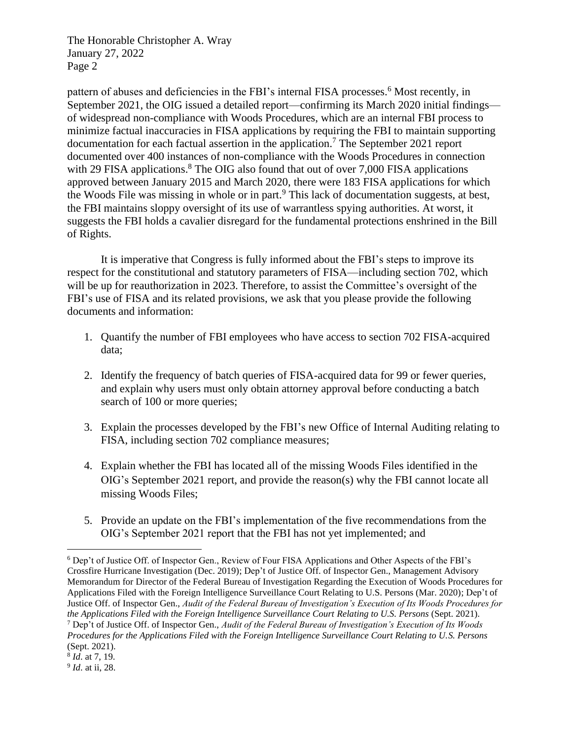The Honorable Christopher A. Wray January 27, 2022 Page 2

pattern of abuses and deficiencies in the FBI's internal FISA processes.<sup>6</sup> Most recently, in September 2021, the OIG issued a detailed report—confirming its March 2020 initial findings of widespread non-compliance with Woods Procedures, which are an internal FBI process to minimize factual inaccuracies in FISA applications by requiring the FBI to maintain supporting documentation for each factual assertion in the application.<sup>7</sup> The September 2021 report documented over 400 instances of non-compliance with the Woods Procedures in connection with 29 FISA applications.<sup>8</sup> The OIG also found that out of over 7,000 FISA applications approved between January 2015 and March 2020, there were 183 FISA applications for which the Woods File was missing in whole or in part. <sup>9</sup> This lack of documentation suggests, at best, the FBI maintains sloppy oversight of its use of warrantless spying authorities. At worst, it suggests the FBI holds a cavalier disregard for the fundamental protections enshrined in the Bill of Rights.

It is imperative that Congress is fully informed about the FBI's steps to improve its respect for the constitutional and statutory parameters of FISA—including section 702, which will be up for reauthorization in 2023. Therefore, to assist the Committee's oversight of the FBI's use of FISA and its related provisions, we ask that you please provide the following documents and information:

- 1. Quantify the number of FBI employees who have access to section 702 FISA-acquired data;
- 2. Identify the frequency of batch queries of FISA-acquired data for 99 or fewer queries, and explain why users must only obtain attorney approval before conducting a batch search of 100 or more queries;
- 3. Explain the processes developed by the FBI's new Office of Internal Auditing relating to FISA, including section 702 compliance measures;
- 4. Explain whether the FBI has located all of the missing Woods Files identified in the OIG's September 2021 report, and provide the reason(s) why the FBI cannot locate all missing Woods Files;
- 5. Provide an update on the FBI's implementation of the five recommendations from the OIG's September 2021 report that the FBI has not yet implemented; and

<sup>6</sup> Dep't of Justice Off. of Inspector Gen., Review of Four FISA Applications and Other Aspects of the FBI's Crossfire Hurricane Investigation (Dec. 2019); Dep't of Justice Off. of Inspector Gen., Management Advisory Memorandum for Director of the Federal Bureau of Investigation Regarding the Execution of Woods Procedures for Applications Filed with the Foreign Intelligence Surveillance Court Relating to U.S. Persons (Mar. 2020); Dep't of Justice Off. of Inspector Gen., *Audit of the Federal Bureau of Investigation's Execution of Its Woods Procedures for the Applications Filed with the Foreign Intelligence Surveillance Court Relating to U.S. Persons* (Sept. 2021). <sup>7</sup> Dep't of Justice Off. of Inspector Gen., *Audit of the Federal Bureau of Investigation's Execution of Its Woods Procedures for the Applications Filed with the Foreign Intelligence Surveillance Court Relating to U.S. Persons*  (Sept. 2021).

<sup>8</sup> *Id*. at 7, 19.

<sup>9</sup> *Id*. at ii, 28.